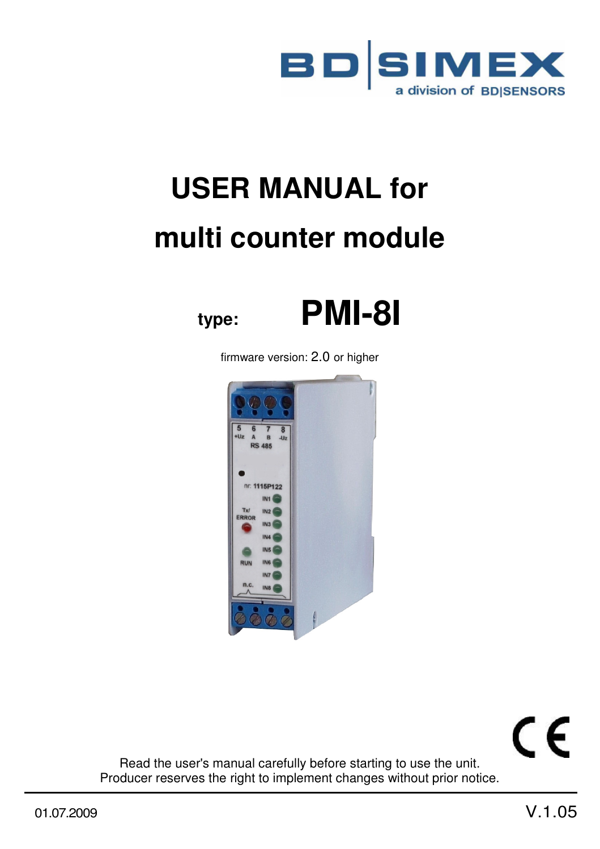

# **USER MANUAL for multi counter module**



firmware version: 2.0 or higher



CE

Read the user's manual carefully before starting to use the unit. Producer reserves the right to implement changes without prior notice.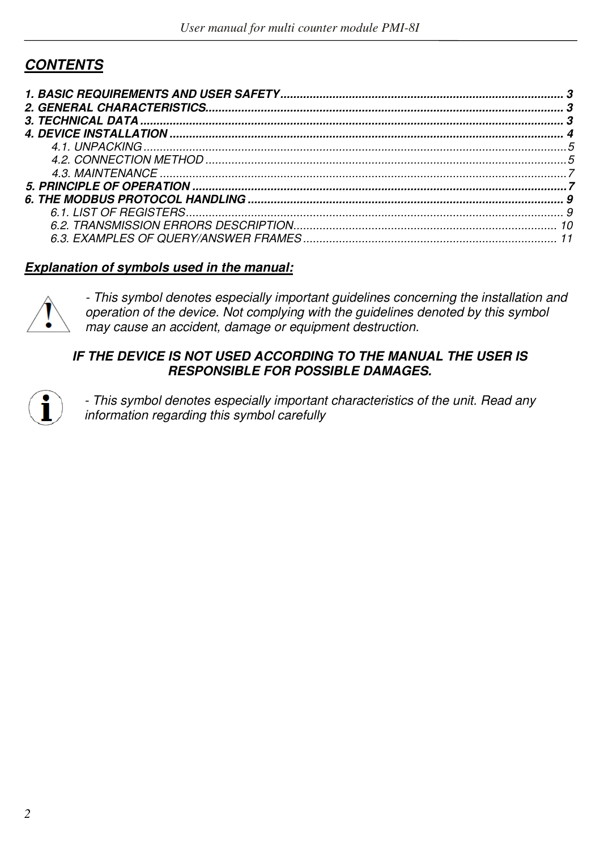## *CONTENTS*

#### *Explanation of symbols used in the manual:*



*- This symbol denotes especially important guidelines concerning the installation and operation of the device. Not complying with the guidelines denoted by this symbol may cause an accident, damage or equipment destruction.*

#### **IF THE DEVICE IS NOT USED ACCORDING TO THE MANUAL THE USER IS** *RESPONSIBLE FOR POSSIBLE DAMAGES.*



*- This symbol denotes especially important characteristics of the unit. Read any information regarding this symbol carefully*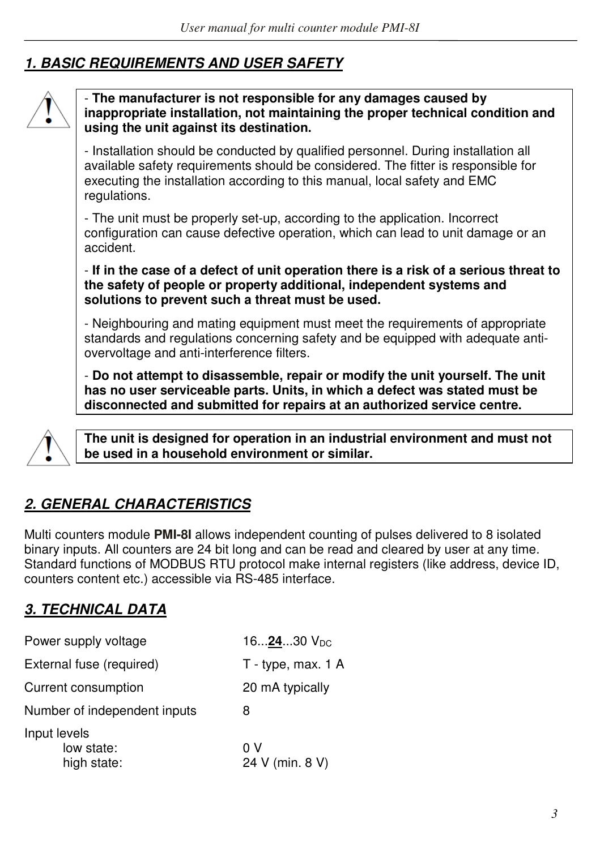# *1. BASIC REQUIREMENTS AND USER SAFETY*



#### - **The manufacturer is not responsible for any damages caused by inappropriate installation, not maintaining the proper technical condition and using the unit against its destination.**

- Installation should be conducted by qualified personnel. During installation all available safety requirements should be considered. The fitter is responsible for executing the installation according to this manual, local safety and EMC regulations.

- The unit must be properly set-up, according to the application. Incorrect configuration can cause defective operation, which can lead to unit damage or an accident.

- **If in the case of a defect of unit operation there is a risk of a serious threat to the safety of people or property additional, independent systems and solutions to prevent such a threat must be used.** 

- Neighbouring and mating equipment must meet the requirements of appropriate standards and regulations concerning safety and be equipped with adequate antiovervoltage and anti-interference filters.

- **Do not attempt to disassemble, repair or modify the unit yourself. The unit has no user serviceable parts. Units, in which a defect was stated must be disconnected and submitted for repairs at an authorized service centre.** 



**The unit is designed for operation in an industrial environment and must not be used in a household environment or similar.** 

# *2. GENERAL CHARACTERISTICS*

Multi counters module **PMI-8I** allows independent counting of pulses delivered to 8 isolated binary inputs. All counters are 24 bit long and can be read and cleared by user at any time. Standard functions of MODBUS RTU protocol make internal registers (like address, device ID, counters content etc.) accessible via RS-485 interface.

## *3. TECHNICAL DATA*

| Power supply voltage                      | 162430 V <sub>DC</sub> |
|-------------------------------------------|------------------------|
| External fuse (required)                  | T - type, max. 1 A     |
| Current consumption                       | 20 mA typically        |
| Number of independent inputs              | 8                      |
| Input levels<br>low state:<br>high state: | 0 V<br>24 V (min. 8 V) |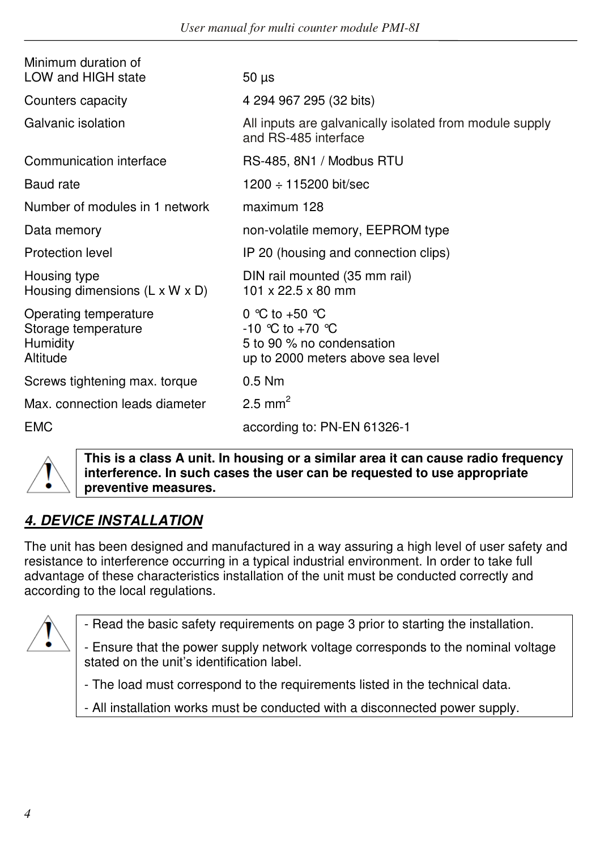| Minimum duration of<br>LOW and HIGH state                                   | $50 \mu s$                                                                                                     |
|-----------------------------------------------------------------------------|----------------------------------------------------------------------------------------------------------------|
| Counters capacity                                                           | 4 294 967 295 (32 bits)                                                                                        |
| Galvanic isolation                                                          | All inputs are galvanically isolated from module supply<br>and RS-485 interface                                |
| Communication interface                                                     | RS-485, 8N1 / Modbus RTU                                                                                       |
| Baud rate                                                                   | $1200 \div 115200$ bit/sec                                                                                     |
| Number of modules in 1 network                                              | maximum 128                                                                                                    |
| Data memory                                                                 | non-volatile memory, EEPROM type                                                                               |
| Protection level                                                            | IP 20 (housing and connection clips)                                                                           |
| Housing type<br>Housing dimensions $(L \times W \times D)$                  | DIN rail mounted (35 mm rail)<br>101 x 22.5 x 80 mm                                                            |
| Operating temperature<br>Storage temperature<br><b>Humidity</b><br>Altitude | 0 °C to +50 $^{\circ}$ C<br>-10 °C to +70 °C<br>5 to 90 % no condensation<br>up to 2000 meters above sea level |
| Screws tightening max. torque                                               | $0.5$ Nm                                                                                                       |
| Max, connection leads diameter                                              | 2.5 mm <sup>2</sup>                                                                                            |
| <b>EMC</b>                                                                  | according to: PN-EN 61326-1                                                                                    |



**This is a class A unit. In housing or a similar area it can cause radio frequency interference. In such cases the user can be requested to use appropriate preventive measures.** 

# *4. DEVICE INSTALLATION*

The unit has been designed and manufactured in a way assuring a high level of user safety and resistance to interference occurring in a typical industrial environment. In order to take full advantage of these characteristics installation of the unit must be conducted correctly and according to the local regulations.



- Read the basic safety requirements on page 3 prior to starting the installation.

- Ensure that the power supply network voltage corresponds to the nominal voltage stated on the unit's identification label.

- The load must correspond to the requirements listed in the technical data.

- All installation works must be conducted with a disconnected power supply.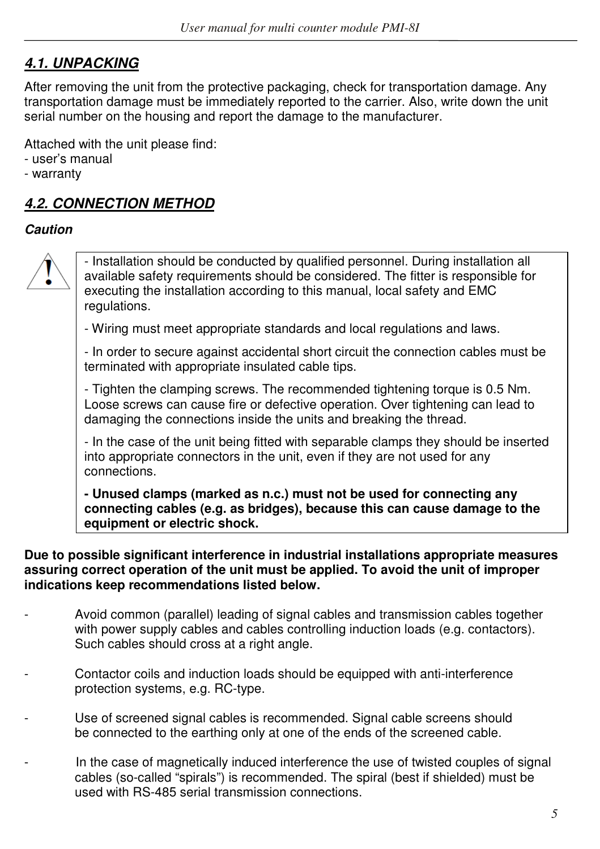## *4.1. UNPACKING*

After removing the unit from the protective packaging, check for transportation damage. Any transportation damage must be immediately reported to the carrier. Also, write down the unit serial number on the housing and report the damage to the manufacturer.

Attached with the unit please find:

- user's manual
- warranty

## *4.2. CONNECTION METHOD*

## *Caution*



- Installation should be conducted by qualified personnel. During installation all available safety requirements should be considered. The fitter is responsible for executing the installation according to this manual, local safety and EMC regulations.

- Wiring must meet appropriate standards and local regulations and laws.

- In order to secure against accidental short circuit the connection cables must be terminated with appropriate insulated cable tips.

- Tighten the clamping screws. The recommended tightening torque is 0.5 Nm. Loose screws can cause fire or defective operation. Over tightening can lead to damaging the connections inside the units and breaking the thread.

- In the case of the unit being fitted with separable clamps they should be inserted into appropriate connectors in the unit, even if they are not used for any connections.

**- Unused clamps (marked as n.c.) must not be used for connecting any connecting cables (e.g. as bridges), because this can cause damage to the equipment or electric shock.**

**Due to possible significant interference in industrial installations appropriate measures assuring correct operation of the unit must be applied. To avoid the unit of improper indications keep recommendations listed below.** 

- Avoid common (parallel) leading of signal cables and transmission cables together with power supply cables and cables controlling induction loads (e.g. contactors). Such cables should cross at a right angle.
- Contactor coils and induction loads should be equipped with anti-interference protection systems, e.g. RC-type.
- Use of screened signal cables is recommended. Signal cable screens should be connected to the earthing only at one of the ends of the screened cable.
- In the case of magnetically induced interference the use of twisted couples of signal cables (so-called "spirals") is recommended. The spiral (best if shielded) must be used with RS-485 serial transmission connections.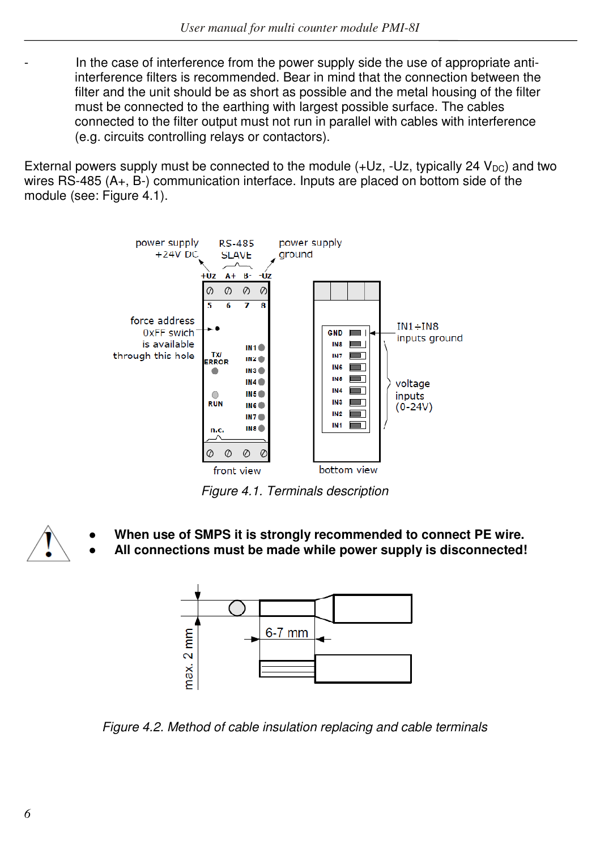- In the case of interference from the power supply side the use of appropriate antiinterference filters is recommended. Bear in mind that the connection between the filter and the unit should be as short as possible and the metal housing of the filter must be connected to the earthing with largest possible surface. The cables connected to the filter output must not run in parallel with cables with interference (e.g. circuits controlling relays or contactors).

External powers supply must be connected to the module  $(+Uz, -Uz,$  typically 24  $V_{DC}$ ) and two wires RS-485 (A+, B-) communication interface. Inputs are placed on bottom side of the module (see: Figure 4.1).



*Figure 4.1. Terminals description* 

**● When use of SMPS it is strongly recommended to connect PE wire.** 

**● All connections must be made while power supply is disconnected!**



*Figure 4.2. Method of cable insulation replacing and cable terminals*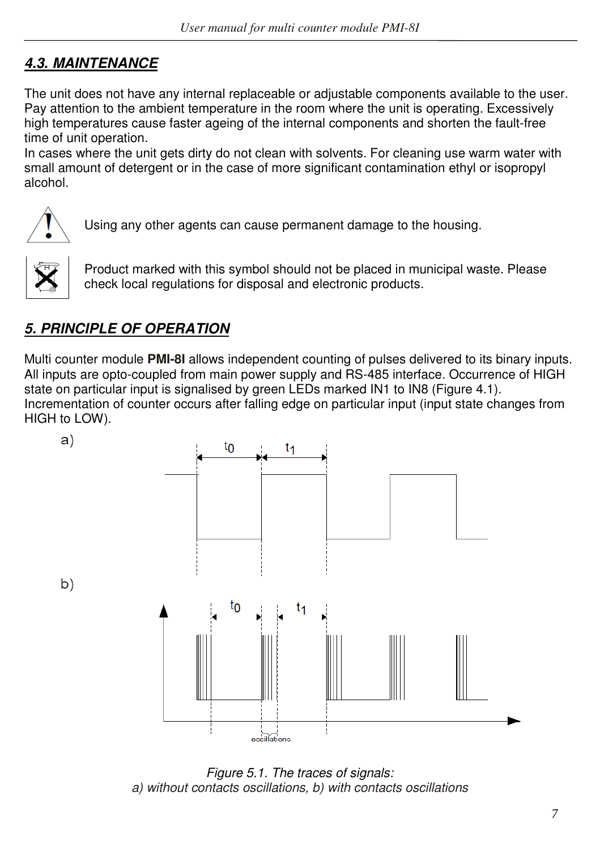# *4.3. MAINTENANCE*

The unit does not have any internal replaceable or adjustable components available to the user. Pay attention to the ambient temperature in the room where the unit is operating. Excessively high temperatures cause faster ageing of the internal components and shorten the fault-free time of unit operation.

In cases where the unit gets dirty do not clean with solvents. For cleaning use warm water with small amount of detergent or in the case of more significant contamination ethyl or isopropyl alcohol.



Using any other agents can cause permanent damage to the housing.



Product marked with this symbol should not be placed in municipal waste. Please check local regulations for disposal and electronic products.

# *5. PRINCIPLE OF OPERATION*

Multi counter module **PMI-8I** allows independent counting of pulses delivered to its binary inputs. All inputs are opto-coupled from main power supply and RS-485 interface. Occurrence of HIGH state on particular input is signalised by green LEDs marked IN1 to IN8 (Figure 4.1). Incrementation of counter occurs after falling edge on particular input (input state changes from HIGH to LOW).



*Figure 5.1. The traces of signals: a) without contacts oscillations, b) with contacts oscillations*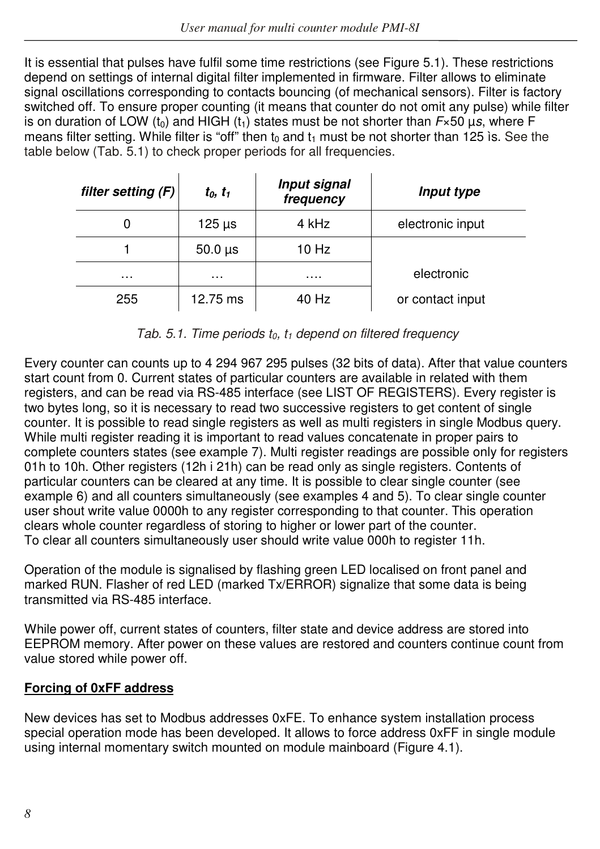It is essential that pulses have fulfil some time restrictions (see Figure 5.1). These restrictions depend on settings of internal digital filter implemented in firmware. Filter allows to eliminate signal oscillations corresponding to contacts bouncing (of mechanical sensors). Filter is factory switched off. To ensure proper counting (it means that counter do not omit any pulse) while filter is on duration of LOW (t<sub>0</sub>) and HIGH (t<sub>1</sub>) states must be not shorter than  $F\times 50$  µ*s*, where F means filter setting. While filter is "off" then  $t_0$  and  $t_1$  must be not shorter than 125 ìs. See the table below (Tab. 5.1) to check proper periods for all frequencies.

| filter setting $(F)$ | $t_0, t_1$                | <b>Input signal</b><br>frequency | Input type       |
|----------------------|---------------------------|----------------------------------|------------------|
| 0                    | $125 \text{ }\mu\text{s}$ | 4 kHz                            | electronic input |
|                      | $50.0 \,\mu s$            | $10$ Hz                          |                  |
| $\cdots$             | $\cdots$                  | .                                | electronic       |
| 255                  | 12.75 ms                  | 40 Hz                            | or contact input |

*Tab. 5.1. Time periods t0, t1 depend on filtered frequency*

Every counter can counts up to 4 294 967 295 pulses (32 bits of data). After that value counters start count from 0. Current states of particular counters are available in related with them registers, and can be read via RS-485 interface (see LIST OF REGISTERS). Every register is two bytes long, so it is necessary to read two successive registers to get content of single counter. It is possible to read single registers as well as multi registers in single Modbus query. While multi register reading it is important to read values concatenate in proper pairs to complete counters states (see example 7). Multi register readings are possible only for registers 01h to 10h. Other registers (12h i 21h) can be read only as single registers. Contents of particular counters can be cleared at any time. It is possible to clear single counter (see example 6) and all counters simultaneously (see examples 4 and 5). To clear single counter user shout write value 0000h to any register corresponding to that counter. This operation clears whole counter regardless of storing to higher or lower part of the counter. To clear all counters simultaneously user should write value 000h to register 11h.

Operation of the module is signalised by flashing green LED localised on front panel and marked RUN. Flasher of red LED (marked Tx/ERROR) signalize that some data is being transmitted via RS-485 interface.

While power off, current states of counters, filter state and device address are stored into EEPROM memory. After power on these values are restored and counters continue count from value stored while power off.

## **Forcing of 0xFF address**

New devices has set to Modbus addresses 0xFE. To enhance system installation process special operation mode has been developed. It allows to force address 0xFF in single module using internal momentary switch mounted on module mainboard (Figure 4.1).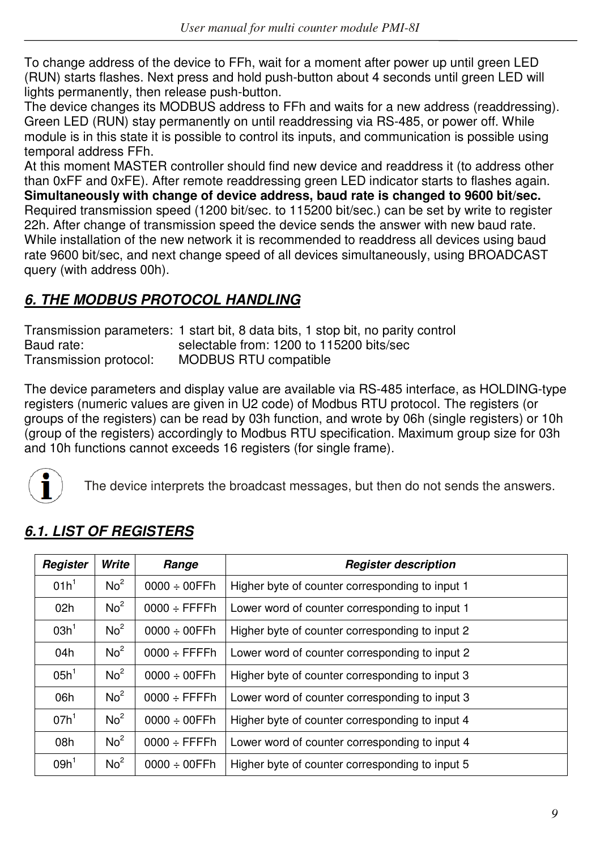To change address of the device to FFh, wait for a moment after power up until green LED (RUN) starts flashes. Next press and hold push-button about 4 seconds until green LED will lights permanently, then release push-button.

The device changes its MODBUS address to FFh and waits for a new address (readdressing). Green LED (RUN) stay permanently on until readdressing via RS-485, or power off. While module is in this state it is possible to control its inputs, and communication is possible using temporal address FFh.

At this moment MASTER controller should find new device and readdress it (to address other than 0xFF and 0xFE). After remote readdressing green LED indicator starts to flashes again. **Simultaneously with change of device address, baud rate is changed to 9600 bit/sec.**  Required transmission speed (1200 bit/sec. to 115200 bit/sec.) can be set by write to register 22h. After change of transmission speed the device sends the answer with new baud rate. While installation of the new network it is recommended to readdress all devices using baud rate 9600 bit/sec, and next change speed of all devices simultaneously, using BROADCAST query (with address 00h).

# *6. THE MODBUS PROTOCOL HANDLING*

Transmission parameters: 1 start bit, 8 data bits, 1 stop bit, no parity control Baud rate: selectable from: 1200 to 115200 bits/sec Transmission protocol: MODBUS RTU compatible

The device parameters and display value are available via RS-485 interface, as HOLDING-type registers (numeric values are given in U2 code) of Modbus RTU protocol. The registers (or groups of the registers) can be read by 03h function, and wrote by 06h (single registers) or 10h (group of the registers) accordingly to Modbus RTU specification. Maximum group size for 03h and 10h functions cannot exceeds 16 registers (for single frame).



The device interprets the broadcast messages, but then do not sends the answers.

| Register         | Write           | Range                     | <b>Register description</b>                     |
|------------------|-----------------|---------------------------|-------------------------------------------------|
| 01h <sup>1</sup> | No <sup>2</sup> | $0000 \div 00$ FFh        | Higher byte of counter corresponding to input 1 |
| 02h              | No <sup>2</sup> | $0000 \div$ FFFFh         | Lower word of counter corresponding to input 1  |
| 03h <sup>1</sup> | No <sup>2</sup> | $0000 \div 00$ FFh        | Higher byte of counter corresponding to input 2 |
| 04h              | No <sup>2</sup> | $0000 \div$ FFFFh         | Lower word of counter corresponding to input 2  |
| 05h <sup>1</sup> | No <sup>2</sup> | $0000 \div 00$ FFh        | Higher byte of counter corresponding to input 3 |
| 06h              | No <sup>2</sup> | $0000 \div$ FFFFh         | Lower word of counter corresponding to input 3  |
| 07h <sup>1</sup> | No <sup>2</sup> | $0000 \div 00$ FFh        | Higher byte of counter corresponding to input 4 |
| 08h              | No <sup>2</sup> | $0000 \div \text{FFFF}$ h | Lower word of counter corresponding to input 4  |
| 09h <sup>1</sup> | No <sup>2</sup> | $0000 \div 00$ FFh        | Higher byte of counter corresponding to input 5 |

## *6.1. LIST OF REGISTERS*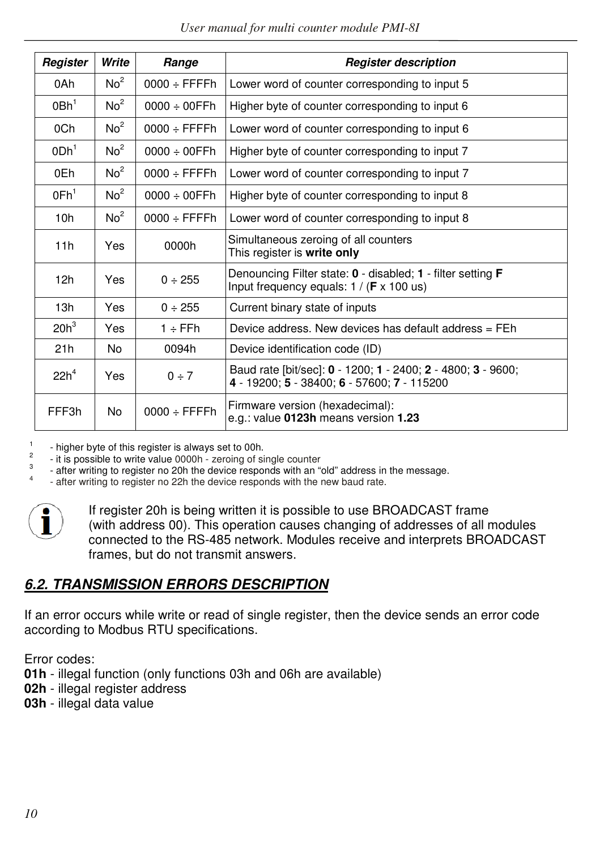| User manual for multi counter module PMI-8I |
|---------------------------------------------|
|---------------------------------------------|

| Register         | Write           | Range                     | <b>Register description</b>                                                                                            |
|------------------|-----------------|---------------------------|------------------------------------------------------------------------------------------------------------------------|
| 0Ah              | No <sup>2</sup> | $0000 \div \text{FFFF}$ h | Lower word of counter corresponding to input 5                                                                         |
| 0Bh <sup>1</sup> | No <sup>2</sup> | $0000 \div 00$ FFh        | Higher byte of counter corresponding to input 6                                                                        |
| 0Ch              | No <sup>2</sup> | $0000 \div$ FFFFh         | Lower word of counter corresponding to input 6                                                                         |
| ODh <sup>1</sup> | No <sup>2</sup> | $0000 \div 00$ FFh        | Higher byte of counter corresponding to input 7                                                                        |
| 0Eh              | No <sup>2</sup> | $0000 \div \text{FFFF}$ h | Lower word of counter corresponding to input 7                                                                         |
| 0Fh <sup>1</sup> | No <sup>2</sup> | $0000 \div 00$ FFh        | Higher byte of counter corresponding to input 8                                                                        |
| 10 <sub>h</sub>  | No <sup>2</sup> | $0000 \div$ FFFFh         | Lower word of counter corresponding to input 8                                                                         |
| 11h              | Yes             | 0000h                     | Simultaneous zeroing of all counters<br>This register is write only                                                    |
| 12h              | Yes             | $0 \div 255$              | Denouncing Filter state: 0 - disabled; 1 - filter setting F<br>Input frequency equals: $1 / (F \times 100 \text{ us})$ |
| 13h              | Yes             | $0 \div 255$              | Current binary state of inputs                                                                                         |
| $20h^3$          | Yes             | $1 ÷$ FFh                 | Device address. New devices has default address = FEh                                                                  |
| 21h              | No.             | 0094h                     | Device identification code (ID)                                                                                        |
| $22h^4$          | Yes             | $0 \div 7$                | Baud rate [bit/sec]: 0 - 1200; 1 - 2400; 2 - 4800; 3 - 9600;<br>4 - 19200; 5 - 38400; 6 - 57600; 7 - 115200            |
| FFF3h            | No.             | $0000 \div$ FFFFh         | Firmware version (hexadecimal):<br>e.g.: value 0123h means version 1.23                                                |

1 - higher byte of this register is always set to 00h.

2 - it is possible to write value 0000h - zeroing of single counter

3 - after writing to register no 20h the device responds with an "old" address in the message.

4 - after writing to register no 22h the device responds with the new baud rate.



If register 20h is being written it is possible to use BROADCAST frame (with address 00). This operation causes changing of addresses of all modules connected to the RS-485 network. Modules receive and interprets BROADCAST frames, but do not transmit answers.

## *6.2. TRANSMISSION ERRORS DESCRIPTION*

If an error occurs while write or read of single register, then the device sends an error code according to Modbus RTU specifications.

Error codes:

**01h** - illegal function (only functions 03h and 06h are available)

**02h** - illegal register address

**03h** - illegal data value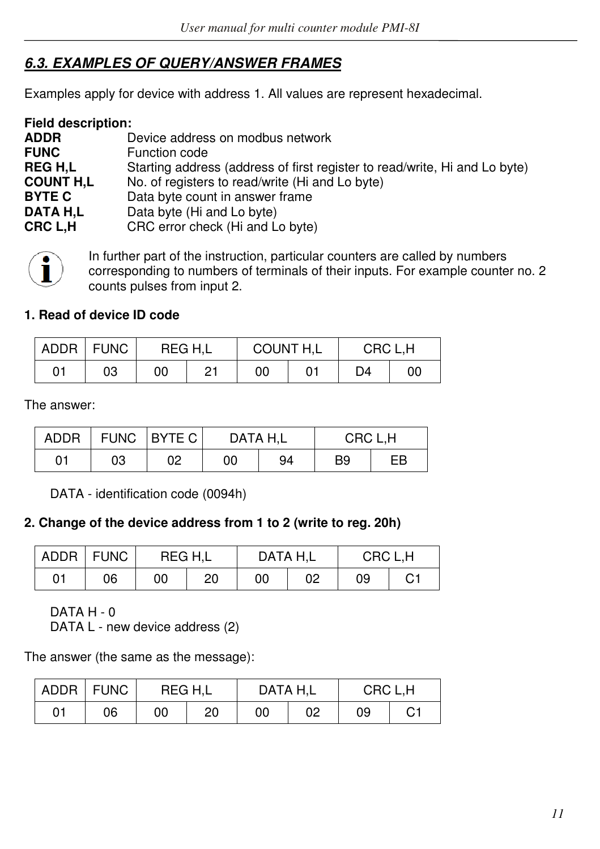## *6.3. EXAMPLES OF QUERY/ANSWER FRAMES*

Examples apply for device with address 1. All values are represent hexadecimal.

| <b>Field description:</b> |                                                                            |
|---------------------------|----------------------------------------------------------------------------|
| <b>ADDR</b>               | Device address on modbus network                                           |
| <b>FUNC</b>               | Function code                                                              |
| <b>REGH.L</b>             | Starting address (address of first register to read/write, Hi and Lo byte) |
| <b>COUNT H.L</b>          | No. of registers to read/write (Hi and Lo byte)                            |
| <b>BYTE C</b>             | Data byte count in answer frame                                            |
| DATA H.L                  | Data byte (Hi and Lo byte)                                                 |
| CRC L.H                   | CRC error check (Hi and Lo byte)                                           |



In further part of the instruction, particular counters are called by numbers corresponding to numbers of terminals of their inputs. For example counter no. 2 counts pulses from input 2.

#### **1. Read of device ID code**

| <b>ADDR</b> | <b>FUNC</b> |    | REG H.L | COUNT H,L |  | CRC L.H |    |
|-------------|-------------|----|---------|-----------|--|---------|----|
| 01          | 03          | 00 | Ο1      | 00        |  | D4      | 00 |

The answer:

| ADDR |    | FUNC BYTE C | DATA H.L |    | CRC L.H |    |  |  |
|------|----|-------------|----------|----|---------|----|--|--|
| 01   | 03 | 02          | 00       | 94 | B9      | EB |  |  |

DATA - identification code (0094h)

## **2. Change of the device address from 1 to 2 (write to reg. 20h)**

|    | ADDR   FUNC | REG H.L |    | DATA H.L |    | CRC L.H |    |
|----|-------------|---------|----|----------|----|---------|----|
| 01 | 06          | 00      | 20 | 00       | 02 | 09      | C1 |

DATA H - 0

DATA L - new device address (2)

The answer (the same as the message):

|    | ADDR   FUNC |    | DATA H.L<br>REG H.L<br>CRC L.H |    |    |    |    |
|----|-------------|----|--------------------------------|----|----|----|----|
| 01 | 06          | 00 | 20                             | 00 | 02 | 09 | C1 |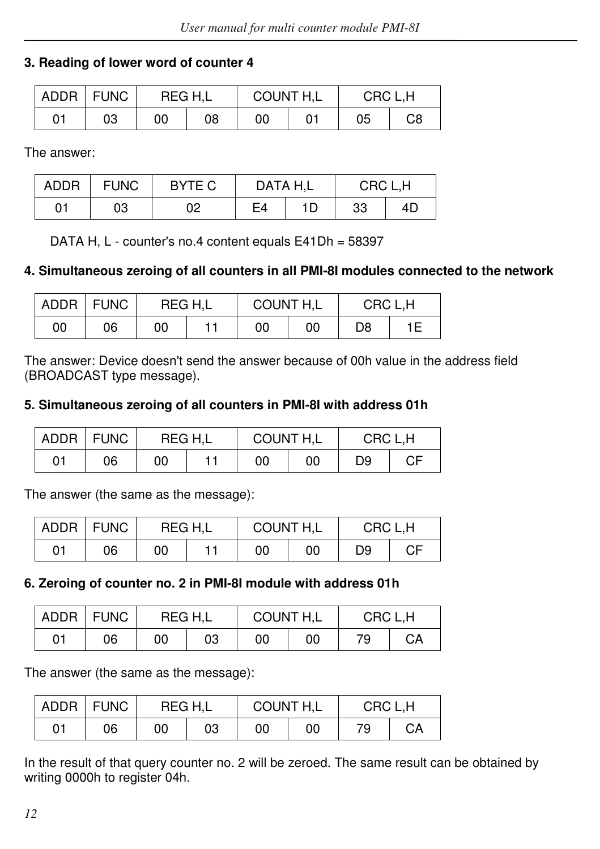## **3. Reading of lower word of counter 4**

|    | ADDR FUNC | REG H.L |    | COUNT H,L | CRC L.H |    |  |
|----|-----------|---------|----|-----------|---------|----|--|
| 01 | 03        | 00      | 08 | 00        | 05      | C8 |  |

The answer:

| ADDR | <b>FUNC</b> | BYTE C |    | DATA H.L | CRC L.H |    |  |
|------|-------------|--------|----|----------|---------|----|--|
| 01   | 03          | 02     | E4 | 1D.      | 33      | 4Ε |  |

DATA H, L - counter's no.4 content equals E41Dh = 58397

## **4. Simultaneous zeroing of all counters in all PMI-8I modules connected to the network**

|    | ADDR FUNC | REG H.L | COUNT H,L |    | CRC L.H |    |  |
|----|-----------|---------|-----------|----|---------|----|--|
| 00 | 06        | 00      | 00        | 00 | D8      | 1Ε |  |

The answer: Device doesn't send the answer because of 00h value in the address field (BROADCAST type message).

#### **5. Simultaneous zeroing of all counters in PMI-8I with address 01h**

|    | ADDR   FUNC | REG H.L |  | COUNT H,L |    | CRC L.H |    |  |
|----|-------------|---------|--|-----------|----|---------|----|--|
| 01 | 06          | 00      |  | 00        | 00 | D9      | СF |  |

The answer (the same as the message):

| ADDR   FUNC |    | REG H.L | COUNT H,L |    | CRC L.H |    |  |
|-------------|----|---------|-----------|----|---------|----|--|
| 01          | 06 | 00      | 00        | 00 | D9      | СF |  |

#### **6. Zeroing of counter no. 2 in PMI-8I module with address 01h**

|    | ADDR FUNC | REG H.L |    | COUNT H,L |    | CRC L.H |    |  |
|----|-----------|---------|----|-----------|----|---------|----|--|
| 01 | 06        | 00      | 03 | 00        | 00 | 79      | CА |  |

The answer (the same as the message):

|    | ADDR FUNC | REG H.L |    | COUNT H,L |    | CRC L.H |    |  |
|----|-----------|---------|----|-----------|----|---------|----|--|
| 01 | 06        | 00      | 03 | 00        | 00 | 79      | CА |  |

In the result of that query counter no. 2 will be zeroed. The same result can be obtained by writing 0000h to register 04h.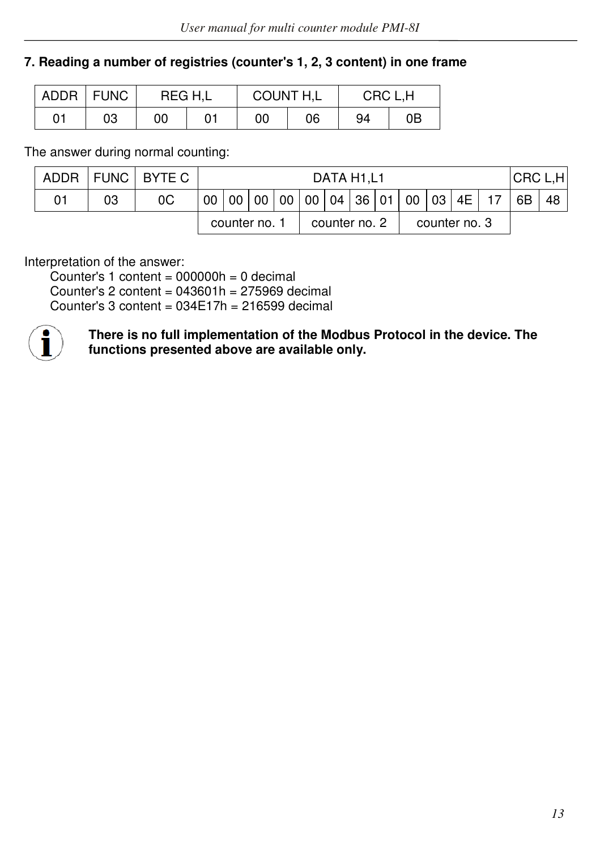## **7. Reading a number of registries (counter's 1, 2, 3 content) in one frame**

|    | ADDR FUNC | REG H.L |  | COUNT H,L |    | CRC L.H |    |  |
|----|-----------|---------|--|-----------|----|---------|----|--|
| 01 | 03        | 00      |  | 00        | 06 | 94      | 0Β |  |

The answer during normal counting:

|    | ADDR FUNC BYTE C |               | DATA H <sub>1</sub> ,L <sub>1</sub>                       |  |               |  |  |  |               |  | CRC L.H |     |  |  |
|----|------------------|---------------|-----------------------------------------------------------|--|---------------|--|--|--|---------------|--|---------|-----|--|--|
| 03 | 0C               |               | 00   00   00   00   00   04   36   01   00   03   4E   17 |  |               |  |  |  |               |  | - 6B    | -48 |  |  |
|    |                  | counter no. 1 |                                                           |  | counter no. 2 |  |  |  | counter no. 3 |  |         |     |  |  |

Interpretation of the answer:

Counter's 1 content =  $000000h = 0$  decimal Counter's 2 content =  $043601h = 275969$  decimal Counter's 3 content =  $034E17h = 216599$  decimal



**There is no full implementation of the Modbus Protocol in the device. The functions presented above are available only.**